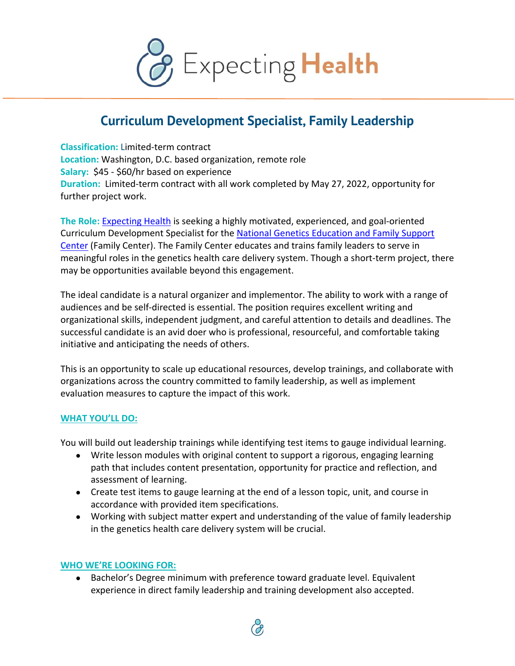

## **Curriculum Development Specialist, Family Leadership**

**Classification:** Limited-term contract **Location:** Washington, D.C. based organization, remote role **Salary:** \$45 - \$60/hr based on experience **Duration:** Limited-term contract with all work completed by May 27, 2022, opportunity for further project work.

**The Role:** Expecting Health is seeking a highly motivated, experienced, and goal-oriented Curriculum Development Specialist for the National Genetics Education and Family Support Center (Family Center). The Family Center educates and trains family leaders to serve in meaningful roles in the genetics health care delivery system. Though a short-term project, there may be opportunities available beyond this engagement.

The ideal candidate is a natural organizer and implementor. The ability to work with a range of audiences and be self-directed is essential. The position requires excellent writing and organizational skills, independent judgment, and careful attention to details and deadlines. The successful candidate is an avid doer who is professional, resourceful, and comfortable taking initiative and anticipating the needs of others.

This is an opportunity to scale up educational resources, develop trainings, and collaborate with organizations across the country committed to family leadership, as well as implement evaluation measures to capture the impact of this work.

## **WHAT YOU'LL DO:**

You will build out leadership trainings while identifying test items to gauge individual learning.

- Write lesson modules with original content to support a rigorous, engaging learning path that includes content presentation, opportunity for practice and reflection, and assessment of learning.
- Create test items to gauge learning at the end of a lesson topic, unit, and course in accordance with provided item specifications.
- Working with subject matter expert and understanding of the value of family leadership in the genetics health care delivery system will be crucial.

## **WHO WE'RE LOOKING FOR:**

● Bachelor's Degree minimum with preference toward graduate level. Equivalent experience in direct family leadership and training development also accepted.